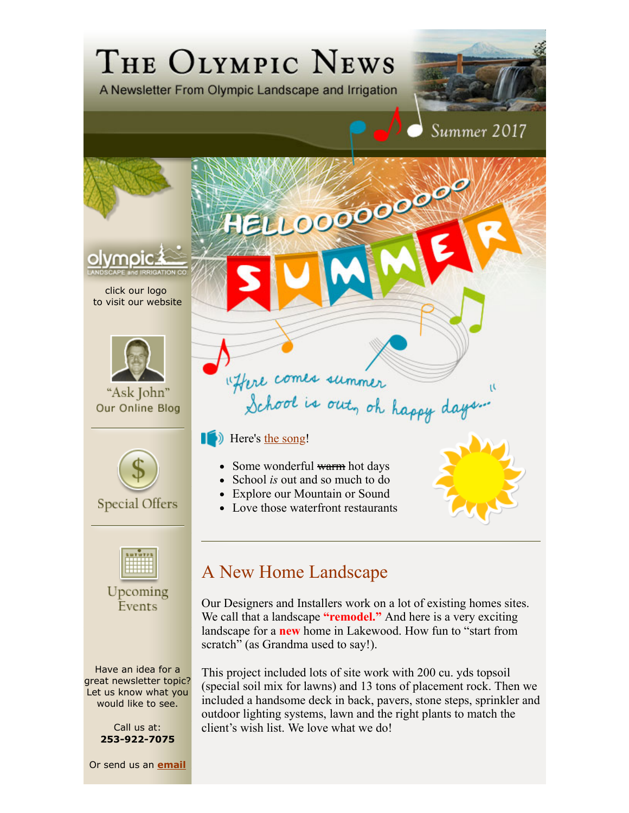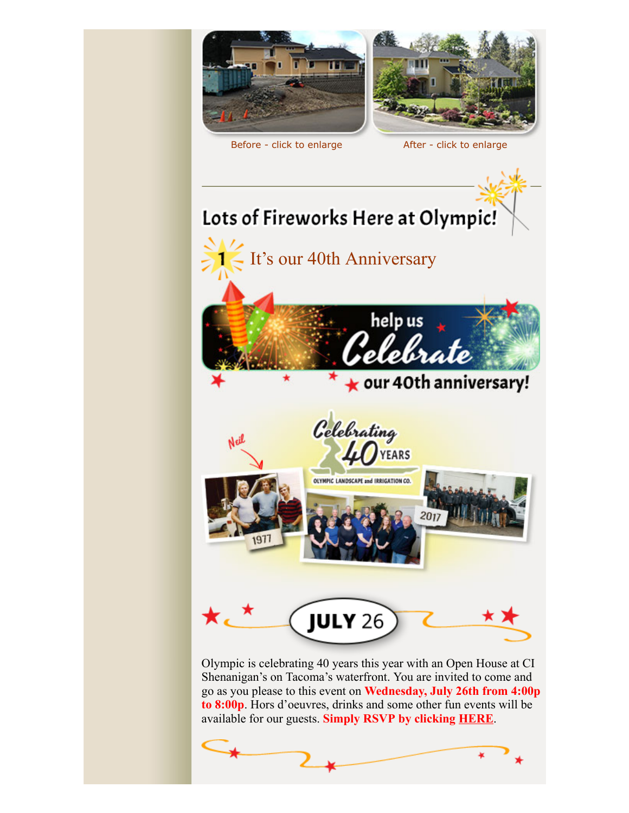

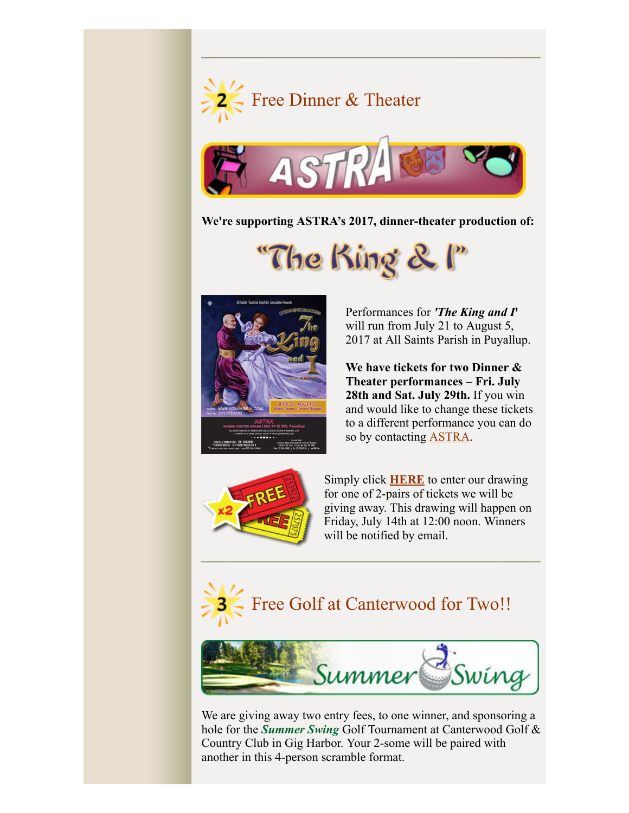



**We're supporting ASTRA's 2017, dinner-theater production of:**

"The King & I"



Performances for *'The King and I***'** will run from July 21 to August 5, 2017 at All Saints Parish in Puyallup.

**We have tickets for two Dinner & Theater performances – Fri. July 28th and Sat. July 29th.** If you win and would like to change these tickets to a different performance you can do so by contacting **ASTRA**.



Simply click **HERE** to enter our drawing for one of 2-pairs of tickets we will be giving away. This drawing will happen on Friday, July 14th at 12:00 noon. Winners will be notified by email.





We are giving away two entry fees, to one winner, and sponsoring a hole for the *Summer Swing* Golf Tournament at Canterwood Golf & Country Club in Gig Harbor. Your 2-some will be paired with another in this 4-person scramble format.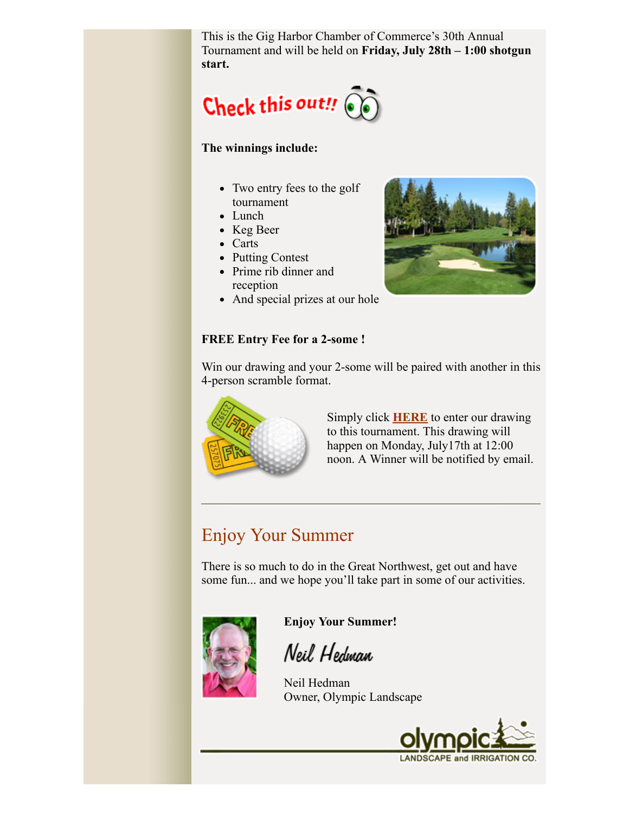This is the Gig Harbor Chamber of Commerce's 30th Annual Tournament and will be held on **Friday, July 28th – 1:00 shotgun start.** 



## **The winnings include:**

- Two entry fees to the golf tournament
- Lunch
- Keg Beer
- Carts
- Putting Contest
- Prime rib dinner and reception
- And special prizes at our hole



## **FREE Entry Fee for a 2-some !**



Win our drawing and your 2-some will be paired with another in this 4-person scramble format.

> Simply click **HERE** to enter our drawing to this tournament. This drawing will happen on Monday, July17th at 12:00 noon. A Winner will be notified by email.

## Enjoy Your Summer

There is so much to do in the Great Northwest, get out and have some fun... and we hope you'll take part in some of our activities.



**Enjoy Your Summer!**

Neil Hedman

Neil Hedman Owner, Olympic Landscape